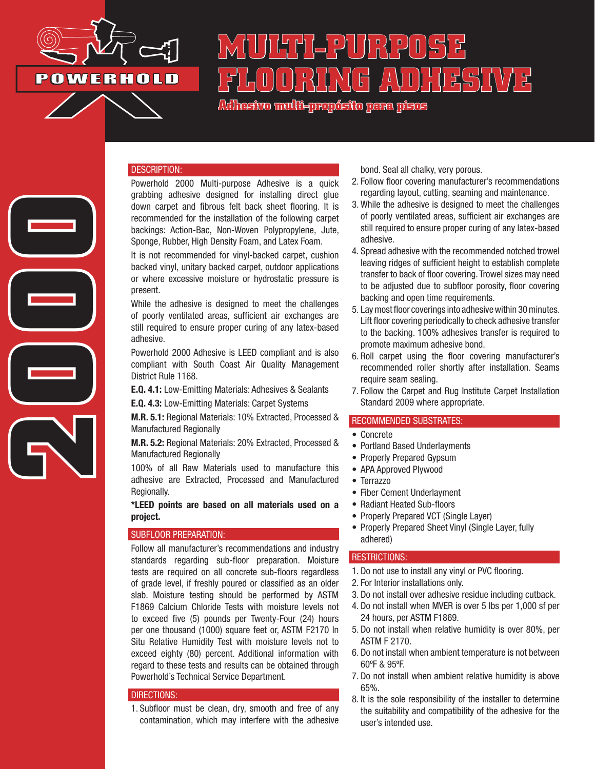

2000

# **MULTI-PURPOSE FLOORING ADHESIVE**

**Adhesivo multi-propósito para pisos**

### DESCRIPTION:

Powerhold 2000 Multi-purpose Adhesive is a quick grabbing adhesive designed for installing direct glue down carpet and fibrous felt back sheet flooring. It is recommended for the installation of the following carpet backings: Action-Bac, Non-Woven Polypropylene, Jute, Sponge, Rubber, High Density Foam, and Latex Foam.

It is not recommended for vinyl-backed carpet, cushion backed vinyl, unitary backed carpet, outdoor applications or where excessive moisture or hydrostatic pressure is present.

While the adhesive is designed to meet the challenges of poorly ventilated areas, sufficient air exchanges are still required to ensure proper curing of any latex-based adhesive.

Powerhold 2000 Adhesive is LEED compliant and is also compliant with South Coast Air Quality Management District Rule 1168.

E.Q. 4.1: Low-Emitting Materials: Adhesives & Sealants

E.Q. 4.3: Low-Emitting Materials: Carpet Systems

M.R. 5.1: Regional Materials: 10% Extracted, Processed & Manufactured Regionally

M.R. 5.2: Regional Materials: 20% Extracted, Processed & Manufactured Regionally

100% of all Raw Materials used to manufacture this adhesive are Extracted, Processed and Manufactured Regionally.

\*LEED points are based on all materials used on a project.

## SUBFLOOR PREPARATION:

Follow all manufacturer's recommendations and industry standards regarding sub-floor preparation. Moisture tests are required on all concrete sub-floors regardless of grade level, if freshly poured or classified as an older slab. Moisture testing should be performed by ASTM F1869 Calcium Chloride Tests with moisture levels not to exceed five (5) pounds per Twenty-Four (24) hours per one thousand (1000) square feet or, ASTM F2170 In Situ Relative Humidity Test with moisture levels not to exceed eighty (80) percent. Additional information with regard to these tests and results can be obtained through Powerhold's Technical Service Department.

#### DIRECTIONS:

1. Subfloor must be clean, dry, smooth and free of any contamination, which may interfere with the adhesive

bond. Seal all chalky, very porous.

- 2. Follow floor covering manufacturer's recommendations regarding layout, cutting, seaming and maintenance.
- 3. While the adhesive is designed to meet the challenges of poorly ventilated areas, sufficient air exchanges are still required to ensure proper curing of any latex-based adhesive.
- 4. Spread adhesive with the recommended notched trowel leaving ridges of sufficient height to establish complete transfer to back of floor covering. Trowel sizes may need to be adjusted due to subfloor porosity, floor covering backing and open time requirements.
- 5. Lay most floor coverings into adhesive within 30 minutes. Lift floor covering periodically to check adhesive transfer to the backing. 100% adhesives transfer is required to promote maximum adhesive bond.
- 6. Roll carpet using the floor covering manufacturer's recommended roller shortly after installation. Seams require seam sealing.
- 7. Follow the Carpet and Rug Institute Carpet Installation Standard 2009 where appropriate.

#### RECOMMENDED SUBSTRATES:

- Concrete
- Portland Based Underlayments
- Properly Prepared Gypsum
- APA Approved Plywood
- Terrazzo
- Fiber Cement Underlayment
- Radiant Heated Sub-floors
- Properly Prepared VCT (Single Layer)
- Properly Prepared Sheet Vinyl (Single Layer, fully adhered)

## RESTRICTIONS:

- 1. Do not use to install any vinyl or PVC flooring.
- 2. For Interior installations only.
- 3. Do not install over adhesive residue including cutback.
- 4. Do not install when MVER is over 5 lbs per 1,000 sf per 24 hours, per ASTM F1869.
- 5. Do not install when relative humidity is over 80%, per ASTM F 2170.
- 6. Do not install when ambient temperature is not between 60ºF & 95ºF.
- 7. Do not install when ambient relative humidity is above 65%.
- 8. It is the sole responsibility of the installer to determine the suitability and compatibility of the adhesive for the user's intended use.